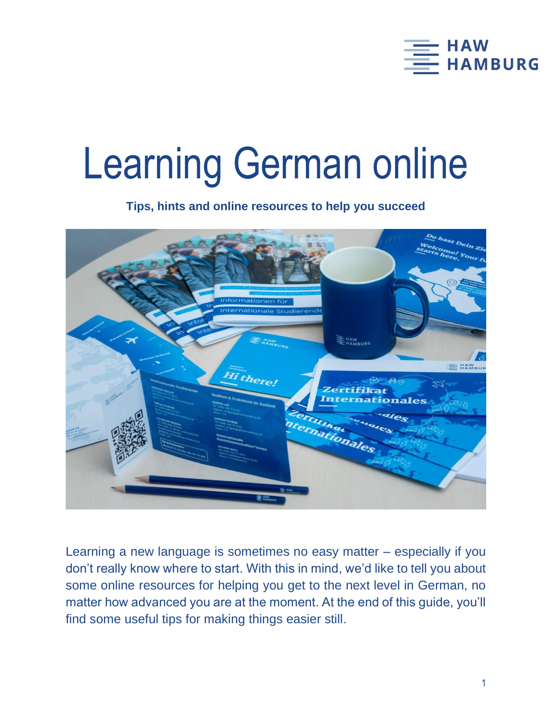

# Learning German online

**Tips, hints and online resources to help you succeed**



Learning a new language is sometimes no easy matter – especially if you don't really know where to start. With this in mind, we'd like to tell you about some online resources for helping you get to the next level in German, no matter how advanced you are at the moment. At the end of this guide, you'll find some useful tips for making things easier still.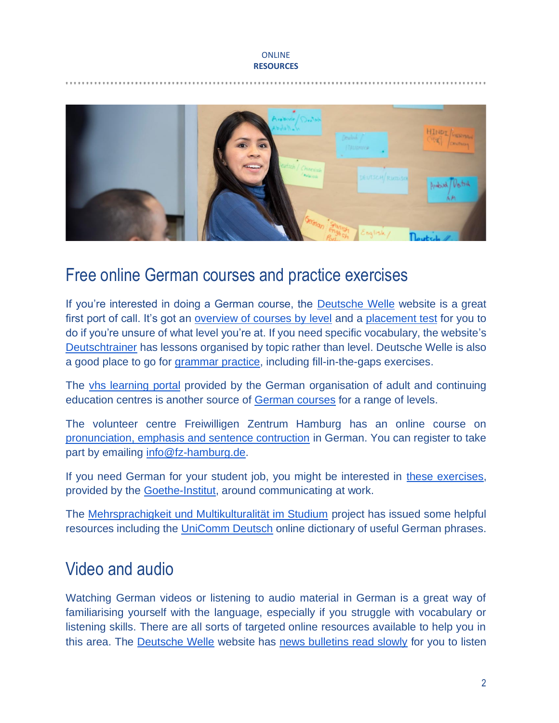#### **ONLINE RESOURCES**



### Free online German courses and practice exercises

If you're interested in doing a German course, the [Deutsche](https://www.dw.com/en/learn-german/s-2469) Welle website is a great first port of call. It's got an overview [of courses by level](https://learngerman.dw.com/en/overview) and a [placement test](https://learngerman.dw.com/en/placementDashboard) for you to do if you're unsure of what level you're at. If you need specific vocabulary, the website's [Deutschtrainer](https://www.dw.com/en/learn-german/deutschtrainer-lektionen/s-32897) has lessons organised by topic rather than level. Deutsche Welle is also a good place to go for [grammar practice,](https://www.dw.com/de/grammatik-%C3%BCben-lokale-pr%C3%A4positionen/l-18764382) including fill-in-the-gaps exercises.

The vhs [learning portal](https://www.vhs-lernportal.de/wws/9.php#/wws/home.php?sid=17596720976053595758973207320620S46b74043) provided by the German organisation of adult and continuing education centres is another source of [German courses](https://deutsch.vhs-lernportal.de/wws/9.php#/wws/deutsch.php?sid=67008786487678343558963676367270S22bc6df5) for a range of levels.

The volunteer centre Freiwilligen Zentrum Hamburg has an online course on [pronunciation, emphasis and sentence contruction](https://www.freiwilligen-zentrum-hamburg.de/abs-online/) in German. You can register to take part by emailing [info@fz-hamburg.de.](mailto:info@fz-hamburg.de)

If you need German for your student job, you might be interested in [these exercises,](https://www.goethe.de/de/spr/ueb/daa.html) provided by the [Goethe-Institut,](https://www.goethe.de/en/spr/ueb.html) around communicating at work.

The [Mehrsprachigkeit und Multikulturalität im Studium](http://www.mumis-projekt.de/mumis/index.php) project has issued some helpful resources including the [UniComm Deutsch](http://www.mumis-unicomm.de/deutsch/) online dictionary of useful German phrases.

## Video and audio

Watching German videos or listening to audio material in German is a great way of familiarising yourself with the language, especially if you struggle with vocabulary or listening skills. There are all sorts of targeted online resources available to help you in this area. The [Deutsche Welle](https://www.dw.com/en/learn-german/s-2469) website has [news bulletins read slowly](https://www.dw.com/de/16052020-langsam-gesprochene-nachrichten/a-53461978) for you to listen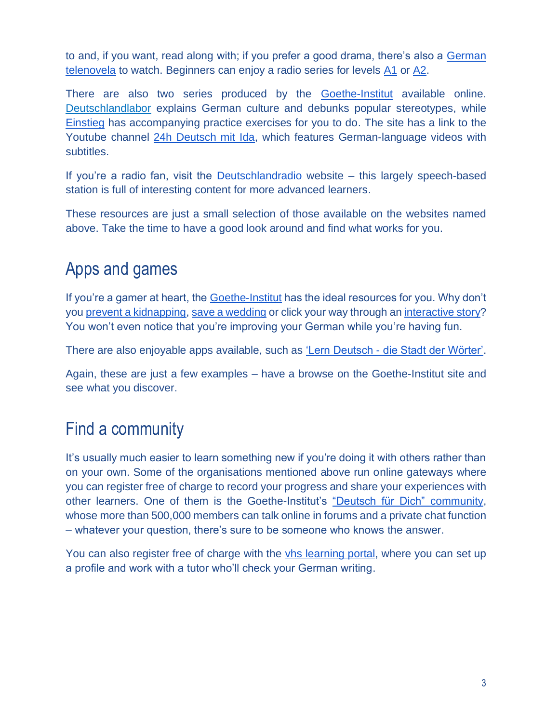to and, if you want, read along with; if you prefer a good drama, there's also a [German](https://www.dw.com/de/deutsch-lernen/jojo-staffel-1/s-31564)  [telenovela](https://www.dw.com/de/deutsch-lernen/jojo-staffel-1/s-31564) to watch. Beginners can enjoy a radio series for levels [A1](https://www.dw.com/en/learn-german/radio-d-teil-1/s-9672) or [A2.](https://www.dw.com/en/learn-german/radio-d-teil-2/s-9673)

There are also two series produced by the **[Goethe-Institut](https://www.goethe.de/en/spr/ueb.html)** available online. [Deutschlandlabor](https://www.goethe.de/de/spr/ueb/dlb.html) explains German culture and debunks popular stereotypes, while [Einstieg](https://www.goethe.de/prj/mwd/en/deu/mse/anl.html) has accompanying practice exercises for you to do. The site has a link to the Youtube channel [24h Deutsch mit Ida,](https://www.youtube.com/24hdeutsch) which features German-language videos with subtitles.

If you're a radio fan, visit the [Deutschlandradio](https://www.deutschlandradio.de/) website – this largely speech-based station is full of interesting content for more advanced learners.

These resources are just a small selection of those available on the websites named above. Take the time to have a good look around and find what works for you.

## Apps and games

If you're a gamer at heart, the [Goethe-Institut](https://www.goethe.de/en/spr/ueb.html) has the ideal resources for you. Why don't you [prevent a kidnapping,](http://www.goethe.de/lrn/pro/maerchen/spiele/index.html) [save a wedding](https://www.goethe.de/prj/mwd/en/deu/azh.html) or click your way through a[n interactive story?](https://www.goethe.de/prj/mwd/en/deu/sbu.html) You won't even notice that you're improving your German while you're having fun.

There are also enjoyable apps available, such as 'Lern Deutsch - [die Stadt der Wörter'.](https://www.goethe.de/en/spr/ueb/led.html)

Again, these are just a few examples – have a browse on the Goethe-Institut site and see what you discover.

## Find a community

It's usually much easier to learn something new if you're doing it with others rather than on your own. Some of the organisations mentioned above run online gateways where you can register free of charge to record your progress and share your experiences with other learners. One of them is the Goethe-Institut's ["Deutsch für Dich"](https://www.goethe.de/prj/dfd/en/home.cfm) community, whose more than 500,000 members can talk online in forums and a private chat function – whatever your question, there's sure to be someone who knows the answer.

You can also register free of charge with the [vhs learning portal,](https://www.vhs-lernportal.de/wws/9.php#/wws/home.php?sid=17596720976053595758973207320620S46b74043) where you can set up a profile and work with a tutor who'll check your German writing.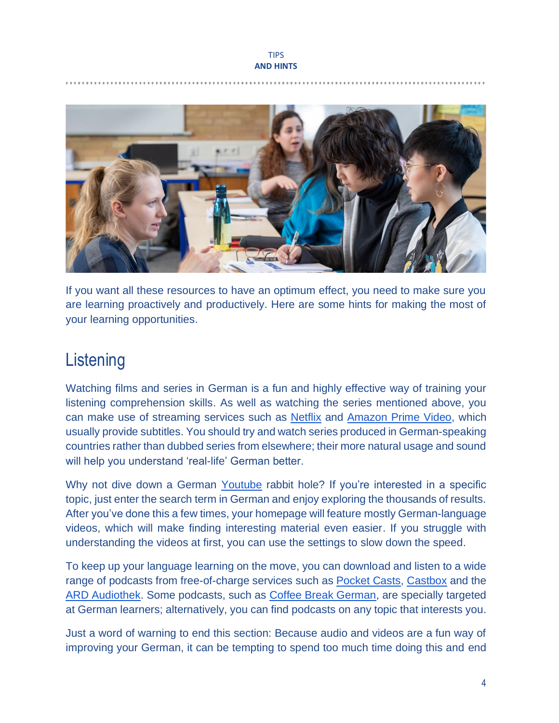#### TIPS **AND HINTS**



If you want all these resources to have an optimum effect, you need to make sure you are learning proactively and productively. Here are some hints for making the most of your learning opportunities.

## **Listening**

Watching films and series in German is a fun and highly effective way of training your listening comprehension skills. As well as watching the series mentioned above, you can make use of streaming services such as [Netflix](https://www.netflix.com/de) and [Amazon Prime Video,](https://www.amazon.de/Amazon-Video/b?node=3010075031) which usually provide subtitles. You should try and watch series produced in German-speaking countries rather than dubbed series from elsewhere; their more natural usage and sound will help you understand 'real-life' German better.

Why not dive down a German [Youtube](https://www.youtube.com/?gl=DE) rabbit hole? If you're interested in a specific topic, just enter the search term in German and enjoy exploring the thousands of results. After you've done this a few times, your homepage will feature mostly German-language videos, which will make finding interesting material even easier. If you struggle with understanding the videos at first, you can use the settings to slow down the speed.

To keep up your language learning on the move, you can download and listen to a wide range of podcasts from free-of-charge services such as **Pocket Casts**, [Castbox](https://castbox.fm/) and the [ARD Audiothek.](https://www.ardaudiothek.de/) Some podcasts, such as [Coffee Break German,](https://radiolingua.com/category/podcast/coffee-break-german/) are specially targeted at German learners; alternatively, you can find podcasts on any topic that interests you.

Just a word of warning to end this section: Because audio and videos are a fun way of improving your German, it can be tempting to spend too much time doing this and end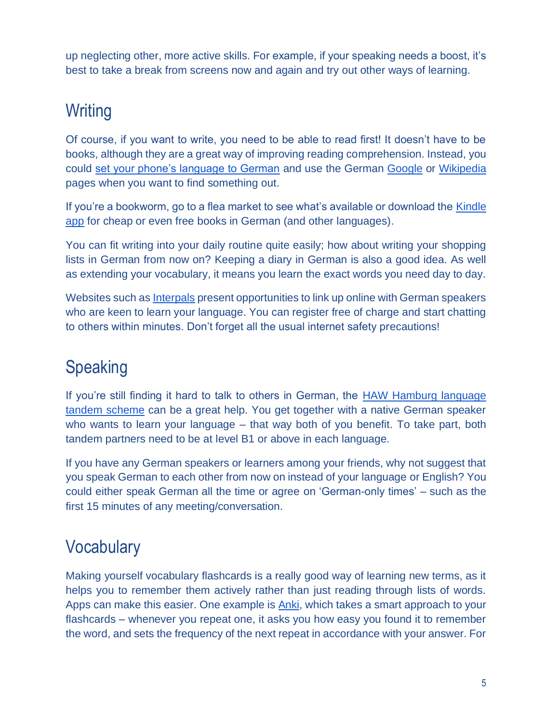up neglecting other, more active skills. For example, if your speaking needs a boost, it's best to take a break from screens now and again and try out other ways of learning.

# **Writing**

Of course, if you want to write, you need to be able to read first! It doesn't have to be books, although they are a great way of improving reading comprehension. Instead, you could [set your phone's language to German](https://www.wikihow.com/Change-the-Language-on-a-Cell-Phone) and use the German [Google](https://www.google.de/) or [Wikipedia](https://www.wikipedia.de/) pages when you want to find something out.

If you're a bookworm, go to a flea market to see what's available or download the [Kindle](https://www.amazon.de/kindle-dbs/fd/kcp)  [app](https://www.amazon.de/kindle-dbs/fd/kcp) for cheap or even free books in German (and other languages).

You can fit writing into your daily routine quite easily; how about writing your shopping lists in German from now on? Keeping a diary in German is also a good idea. As well as extending your vocabulary, it means you learn the exact words you need day to day.

Websites such as [Interpals](https://www.interpals.net/) present opportunities to link up online with German speakers who are keen to learn your language. You can register free of charge and start chatting to others within minutes. Don't forget all the usual internet safety precautions!

# Speaking

If you're still finding it hard to talk to others in German, the [HAW Hamburg language](https://www.haw-hamburg.de/en/international/intercultural-programmes/tandem-partnerships/)  [tandem scheme](https://www.haw-hamburg.de/en/international/intercultural-programmes/tandem-partnerships/) can be a great help. You get together with a native German speaker who wants to learn your language – that way both of you benefit. To take part, both tandem partners need to be at level B1 or above in each language.

If you have any German speakers or learners among your friends, why not suggest that you speak German to each other from now on instead of your language or English? You could either speak German all the time or agree on 'German-only times' – such as the first 15 minutes of any meeting/conversation.

# **Vocabulary**

Making yourself vocabulary flashcards is a really good way of learning new terms, as it helps you to remember them actively rather than just reading through lists of words. Apps can make this easier. One example is [Anki,](https://www.ankiapp.com/) which takes a smart approach to your flashcards – whenever you repeat one, it asks you how easy you found it to remember the word, and sets the frequency of the next repeat in accordance with your answer. For